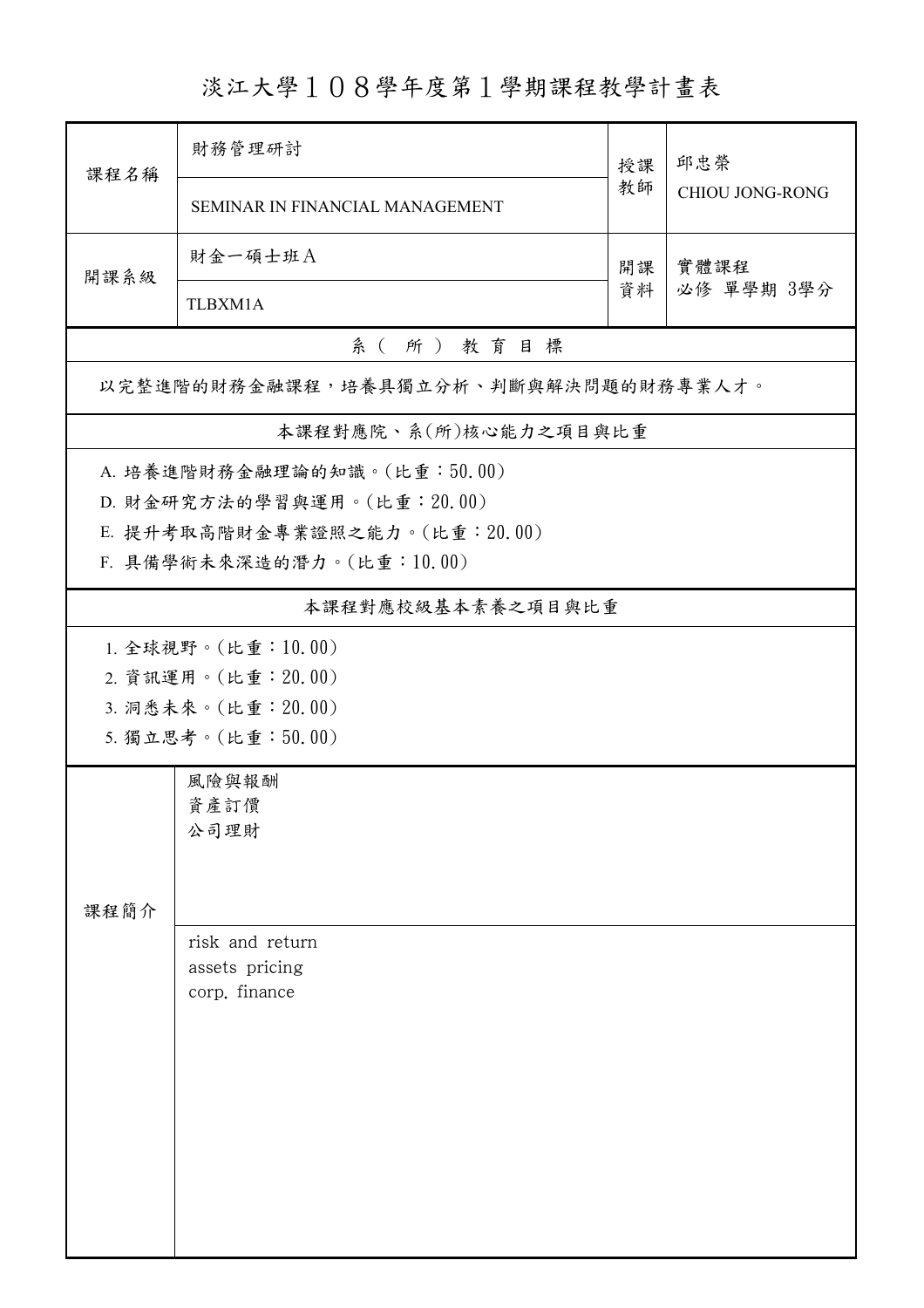淡江大學108學年度第1學期課程教學計畫表

| 課程名稱                                 | 財務管理研討                          | 授課<br>教師 | 邱忠榮<br><b>CHIOU JONG-RONG</b> |  |  |  |
|--------------------------------------|---------------------------------|----------|-------------------------------|--|--|--|
|                                      | SEMINAR IN FINANCIAL MANAGEMENT |          |                               |  |  |  |
| 開課系級                                 | 財金一碩士班A                         | 開課<br>資料 | 實體課程<br>必修 單學期 3學分            |  |  |  |
|                                      | TLBXM1A                         |          |                               |  |  |  |
| 系(所)教育目標                             |                                 |          |                               |  |  |  |
| 以完整進階的財務金融課程,培養具獨立分析、判斷與解決問題的財務專業人才。 |                                 |          |                               |  |  |  |
| 本課程對應院、系(所)核心能力之項目與比重                |                                 |          |                               |  |  |  |
|                                      | A. 培養進階財務金融理論的知識。(比重:50.00)     |          |                               |  |  |  |
| D. 財金研究方法的學習與運用。(比重: 20.00)          |                                 |          |                               |  |  |  |
| E. 提升考取高階財金專業證照之能力。(比重: 20.00)       |                                 |          |                               |  |  |  |
| F. 具備學術未來深造的潛力。(比重:10.00)            |                                 |          |                               |  |  |  |
| 本課程對應校級基本素養之項目與比重                    |                                 |          |                               |  |  |  |
| 1. 全球視野。(比重:10.00)                   |                                 |          |                               |  |  |  |
|                                      | 2. 資訊運用。(比重: 20.00)             |          |                               |  |  |  |
|                                      | 3. 洞悉未來。(比重: 20.00)             |          |                               |  |  |  |
|                                      | 5. 獨立思考。(比重:50.00)              |          |                               |  |  |  |
|                                      | 風險與報酬                           |          |                               |  |  |  |
|                                      | 資產訂價                            |          |                               |  |  |  |
|                                      | 公司理財                            |          |                               |  |  |  |
|                                      |                                 |          |                               |  |  |  |
| 課程簡介                                 |                                 |          |                               |  |  |  |
|                                      | risk and return                 |          |                               |  |  |  |
|                                      | assets pricing                  |          |                               |  |  |  |
|                                      | corp. finance                   |          |                               |  |  |  |
|                                      |                                 |          |                               |  |  |  |
|                                      |                                 |          |                               |  |  |  |
|                                      |                                 |          |                               |  |  |  |
|                                      |                                 |          |                               |  |  |  |
|                                      |                                 |          |                               |  |  |  |
|                                      |                                 |          |                               |  |  |  |
|                                      |                                 |          |                               |  |  |  |
|                                      |                                 |          |                               |  |  |  |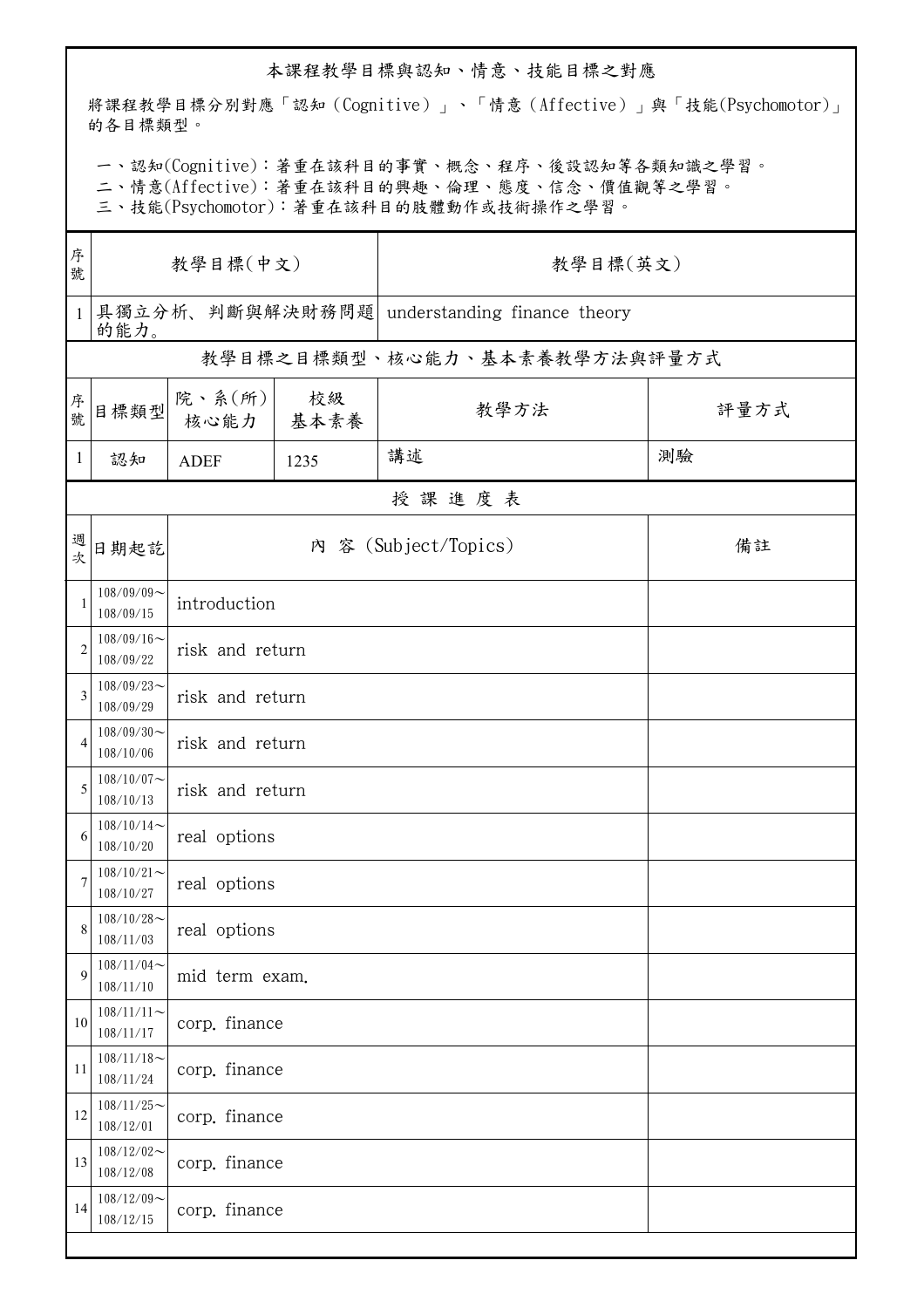## 本課程教學目標與認知、情意、技能目標之對應

將課程教學目標分別對應「認知(Cognitive)」、「情意(Affective)」與「技能(Psychomotor)」 的各目標類型。

一、認知(Cognitive):著重在該科目的事實、概念、程序、後設認知等各類知識之學習。

二、情意(Affective):著重在該科目的興趣、倫理、態度、信念、價值觀等之學習。

三、技能(Psychomotor):著重在該科目的肢體動作或技術操作之學習。

| 教學目標(英文)                             |  |  |  |  |  |  |
|--------------------------------------|--|--|--|--|--|--|
| understanding finance theory         |  |  |  |  |  |  |
| 的能力。<br>教學目標之目標類型、核心能力、基本素養教學方法與評量方式 |  |  |  |  |  |  |
| 評量方式                                 |  |  |  |  |  |  |
|                                      |  |  |  |  |  |  |
| 授課進度表                                |  |  |  |  |  |  |
| 備註                                   |  |  |  |  |  |  |
| introduction                         |  |  |  |  |  |  |
| risk and return                      |  |  |  |  |  |  |
| risk and return                      |  |  |  |  |  |  |
|                                      |  |  |  |  |  |  |
| risk and return                      |  |  |  |  |  |  |
|                                      |  |  |  |  |  |  |
|                                      |  |  |  |  |  |  |
|                                      |  |  |  |  |  |  |
|                                      |  |  |  |  |  |  |
|                                      |  |  |  |  |  |  |
|                                      |  |  |  |  |  |  |
|                                      |  |  |  |  |  |  |
|                                      |  |  |  |  |  |  |
|                                      |  |  |  |  |  |  |
|                                      |  |  |  |  |  |  |